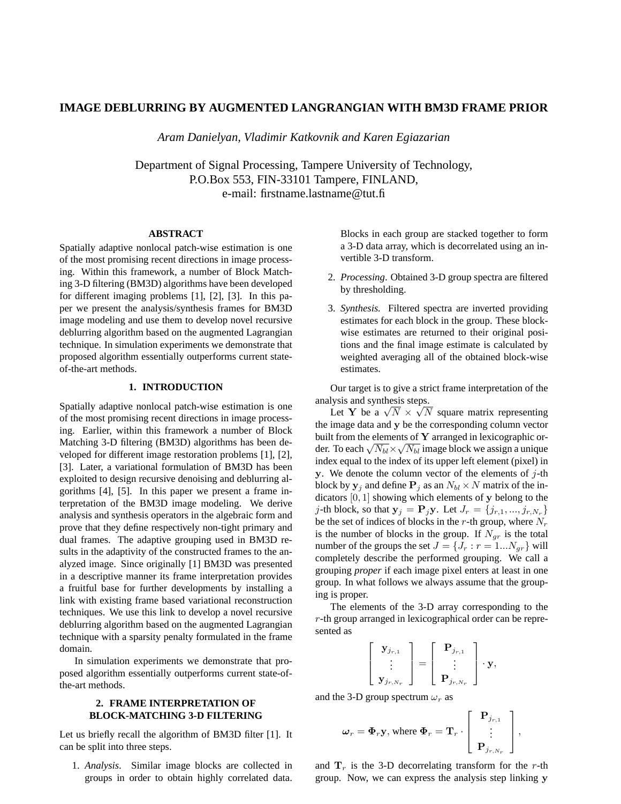# **IMAGE DEBLURRING BY AUGMENTED LANGRANGIAN WITH BM3D FRAME PRIOR**

*Aram Danielyan, Vladimir Katkovnik and Karen Egiazarian*

Department of Signal Processing, Tampere University of Technology, P.O.Box 553, FIN-33101 Tampere, FINLAND, e-mail: firstname.lastname@tut.fi

## **ABSTRACT**

Spatially adaptive nonlocal patch-wise estimation is one of the most promising recent directions in image processing. Within this framework, a number of Block Matching 3-D filtering (BM3D) algorithms have been developed for different imaging problems [1], [2], [3]. In this paper we present the analysis/synthesis frames for BM3D image modeling and use them to develop novel recursive deblurring algorithm based on the augmented Lagrangian technique. In simulation experiments we demonstrate that proposed algorithm essentially outperforms current stateof-the-art methods.

### **1. INTRODUCTION**

Spatially adaptive nonlocal patch-wise estimation is one of the most promising recent directions in image processing. Earlier, within this framework a number of Block Matching 3-D filtering (BM3D) algorithms has been developed for different image restoration problems [1], [2], [3]. Later, a variational formulation of BM3D has been exploited to design recursive denoising and deblurring algorithms [4], [5]. In this paper we present a frame interpretation of the BM3D image modeling. We derive analysis and synthesis operators in the algebraic form and prove that they define respectively non-tight primary and dual frames. The adaptive grouping used in BM3D results in the adaptivity of the constructed frames to the analyzed image. Since originally [1] BM3D was presented in a descriptive manner its frame interpretation provides a fruitful base for further developments by installing a link with existing frame based variational reconstruction techniques. We use this link to develop a novel recursive deblurring algorithm based on the augmented Lagrangian technique with a sparsity penalty formulated in the frame domain.

In simulation experiments we demonstrate that proposed algorithm essentially outperforms current state-ofthe-art methods.

### **2. FRAME INTERPRETATION OF BLOCK-MATCHING 3-D FILTERING**

Let us briefly recall the algorithm of BM3D filter [1]. It can be split into three steps.

1. *Analysis*. Similar image blocks are collected in groups in order to obtain highly correlated data. Blocks in each group are stacked together to form a 3-D data array, which is decorrelated using an invertible 3-D transform.

- 2. *Processing*. Obtained 3-D group spectra are filtered by thresholding.
- 3. *Synthesis.* Filtered spectra are inverted providing estimates for each block in the group. These blockwise estimates are returned to their original positions and the final image estimate is calculated by weighted averaging all of the obtained block-wise estimates.

Our target is to give a strict frame interpretation of the analysis and synthesis steps.

Let Y be a  $\sqrt{N} \times \sqrt{N}$  square matrix representing the image data and y be the corresponding column vector built from the elements of  $Y$  arranged in lexicographic order. To each  $\sqrt{N_{bl}} \times \sqrt{N_{bl}}$  image block we assign a unique index equal to the index of its upper left element (pixel) in y. We denote the column vector of the elements of  $j$ -th block by  $y_j$  and define  $P_j$  as an  $N_{bl} \times N$  matrix of the indicators  $[0, 1]$  showing which elements of y belong to the j-th block, so that  $y_j = P_j y$ . Let  $J_r = \{j_{r,1},...,j_{r,N_r}\}$ be the set of indices of blocks in the r-th group, where  $N_r$ is the number of blocks in the group. If  $N_{gr}$  is the total number of the groups the set  $J = \{J_r : r = 1...N_{gr}\}\$  will completely describe the performed grouping. We call a grouping *proper* if each image pixel enters at least in one group. In what follows we always assume that the grouping is proper.

The elements of the 3-D array corresponding to the r-th group arranged in lexicographical order can be represented as

$$
\left[\begin{array}{c} \mathbf{y}_{j_{r,1}} \\ \vdots \\ \mathbf{y}_{j_{r,N_r}} \end{array}\right] = \left[\begin{array}{c} \mathbf{P}_{j_{r,1}} \\ \vdots \\ \mathbf{P}_{j_{r,N_r}} \end{array}\right] \cdot \mathbf{y},
$$

and the 3-D group spectrum  $\omega_r$  as

$$
\boldsymbol{\omega}_r = \boldsymbol{\Phi}_r \mathbf{y}, \text{ where } \boldsymbol{\Phi}_r = \mathbf{T}_r \cdot \left[ \begin{array}{c} \mathbf{P}_{j_{r,1}} \\ \vdots \\ \mathbf{P}_{j_{r,N_r}} \end{array} \right],
$$

and  $T_r$  is the 3-D decorrelating transform for the r-th group. Now, we can express the analysis step linking y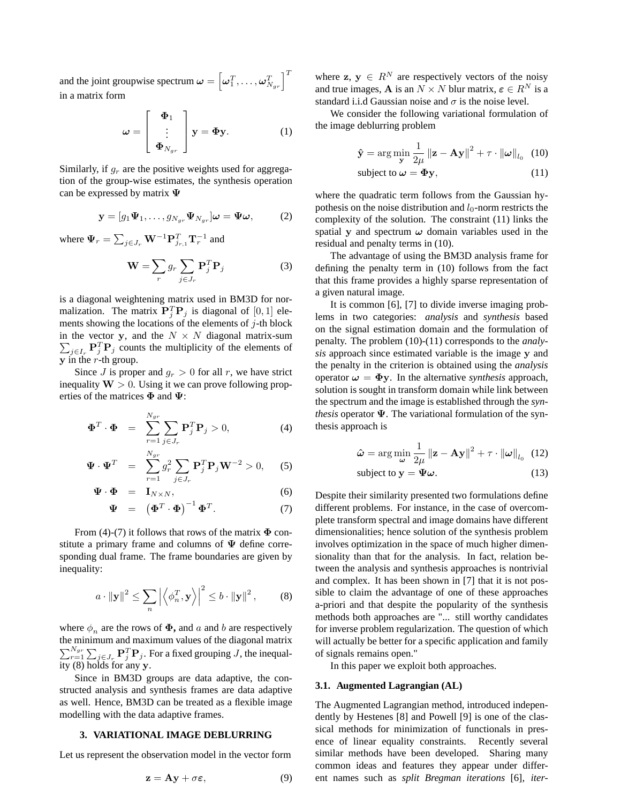and the joint groupwise spectrum  $\boldsymbol{\omega} = \left[\omega_1^T, \dots, \omega_{N_{gr}}^T\right]^T$ in a matrix form

$$
\omega = \begin{bmatrix} \Phi_1 \\ \vdots \\ \Phi_{N_{gr}} \end{bmatrix} \mathbf{y} = \Phi \mathbf{y}.
$$
 (1)

Similarly, if  $q_r$  are the positive weights used for aggregation of the group-wise estimates, the synthesis operation can be expressed by matrix  $\Psi$ 

$$
\mathbf{y} = [g_1 \Psi_1, \dots, g_{N_{gr}} \Psi_{N_{gr}}] \boldsymbol{\omega} = \Psi \boldsymbol{\omega}, \quad (2)
$$

where  $\Psi_r = \sum_{j \in J_r} \mathbf{W}^{-1} \mathbf{P}_{j_{r,1}}^T \mathbf{T}_r^{-1}$  and

$$
\mathbf{W} = \sum_{r} g_r \sum_{j \in J_r} \mathbf{P}_j^T \mathbf{P}_j
$$
 (3)

is a diagonal weightening matrix used in BM3D for normalization. The matrix  $\mathbf{P}_j^T \mathbf{P}_j$  is diagonal of [0, 1] elements showing the locations of the elements of  $j$ -th block in the vector y, and the  $N \times N$  diagonal matrix-sum  $\sum_{j\in I_r} \mathbf{P}_j^T \mathbf{P}_j$  counts the multiplicity of the elements of  $\overline{y}$  in the r-th group.

Since J is proper and  $q_r > 0$  for all r, we have strict inequality  $W > 0$ . Using it we can prove following properties of the matrices  $\Phi$  and  $\Psi$ :

$$
\mathbf{\Phi}^T \cdot \mathbf{\Phi} = \sum_{r=1}^{N_{gr}} \sum_{j \in J_r} \mathbf{P}_j^T \mathbf{P}_j > 0, \tag{4}
$$

$$
\mathbf{\Psi} \cdot \mathbf{\Psi}^T = \sum_{r=1}^{N_{gr}} g_r^2 \sum_{j \in J_r} \mathbf{P}_j^T \mathbf{P}_j \mathbf{W}^{-2} > 0, \quad (5)
$$

$$
\mathbf{\Psi} \cdot \mathbf{\Phi} = \mathbf{I}_{N \times N}, \tag{6}
$$

$$
\mathbf{\Psi} = (\mathbf{\Phi}^T \cdot \mathbf{\Phi})^{-1} \mathbf{\Phi}^T. \tag{7}
$$

From (4)-(7) it follows that rows of the matrix  $\Phi$  constitute a primary frame and columns of  $\Psi$  define corresponding dual frame. The frame boundaries are given by inequality:

$$
a \cdot ||\mathbf{y}||^2 \le \sum_n \left| \left\langle \phi_n^T, \mathbf{y} \right\rangle \right|^2 \le b \cdot ||\mathbf{y}||^2, \quad (8)
$$

where  $\phi_n$  are the rows of  $\Phi$ , and a and b are respectively the minimum and maximum values of the diagonal matrix  $\sum_{r=1}^{N_{gr}} \sum_{j \in J_r} \mathbf{P}_j^T \mathbf{P}_j$ . For a fixed grouping  $J$ , the inequality  $(8)$  holds for any y.

Since in BM3D groups are data adaptive, the constructed analysis and synthesis frames are data adaptive as well. Hence, BM3D can be treated as a flexible image modelling with the data adaptive frames.

#### **3. VARIATIONAL IMAGE DEBLURRING**

Let us represent the observation model in the vector form

$$
z = Ay + \sigma \varepsilon, \tag{9}
$$

where  $z, y \in R^N$  are respectively vectors of the noisy and true images, **A** is an  $N \times N$  blur matrix,  $\boldsymbol{\varepsilon} \in R^N$  is a standard i.i.d Gaussian noise and  $\sigma$  is the noise level.

We consider the following variational formulation of the image deblurring problem

$$
\hat{\mathbf{y}} = \arg\min_{\mathbf{y}} \frac{1}{2\mu} \left\| \mathbf{z} - \mathbf{A}\mathbf{y} \right\|^2 + \tau \cdot \left\| \boldsymbol{\omega} \right\|_{l_0} \tag{10}
$$

$$
subject to \omega = \Phi y, \qquad (11)
$$

where the quadratic term follows from the Gaussian hypothesis on the noise distribution and  $l_0$ -norm restricts the complexity of the solution. The constraint (11) links the spatial y and spectrum  $\omega$  domain variables used in the residual and penalty terms in (10).

The advantage of using the BM3D analysis frame for defining the penalty term in (10) follows from the fact that this frame provides a highly sparse representation of a given natural image.

It is common [6]*,* [7] to divide inverse imaging problems in two categories: *analysis* and *synthesis* based on the signal estimation domain and the formulation of penalty. The problem (10)-(11) corresponds to the *analysis* approach since estimated variable is the image y and the penalty in the criterion is obtained using the *analysis* operator  $\omega = \Phi y$ . In the alternative *synthesis* approach, solution is sought in transform domain while link between the spectrum and the image is established through the *synthesis* operator  $\Psi$ . The variational formulation of the synthesis approach is

$$
\hat{\omega} = \arg\min_{\omega} \frac{1}{2\mu} ||\mathbf{z} - \mathbf{A}\mathbf{y}||^2 + \tau \cdot ||\omega||_{l_0} \quad (12)
$$
  
subject to  $\mathbf{y} = \mathbf{\Psi}\omega.$  (13)

Despite their similarity presented two formulations define different problems. For instance, in the case of overcomplete transform spectral and image domains have different dimensionalities; hence solution of the synthesis problem involves optimization in the space of much higher dimensionality than that for the analysis. In fact, relation between the analysis and synthesis approaches is nontrivial and complex. It has been shown in [7] that it is not possible to claim the advantage of one of these approaches a-priori and that despite the popularity of the synthesis methods both approaches are "... still worthy candidates for inverse problem regularization. The question of which will actually be better for a specific application and family of signals remains open."

In this paper we exploit both approaches.

#### **3.1. Augmented Lagrangian (AL)**

The Augmented Lagrangian method, introduced independently by Hestenes [8] and Powell [9] is one of the classical methods for minimization of functionals in presence of linear equality constraints. Recently several similar methods have been developed. Sharing many common ideas and features they appear under different names such as *split Bregman iterations* [6]*, iter-*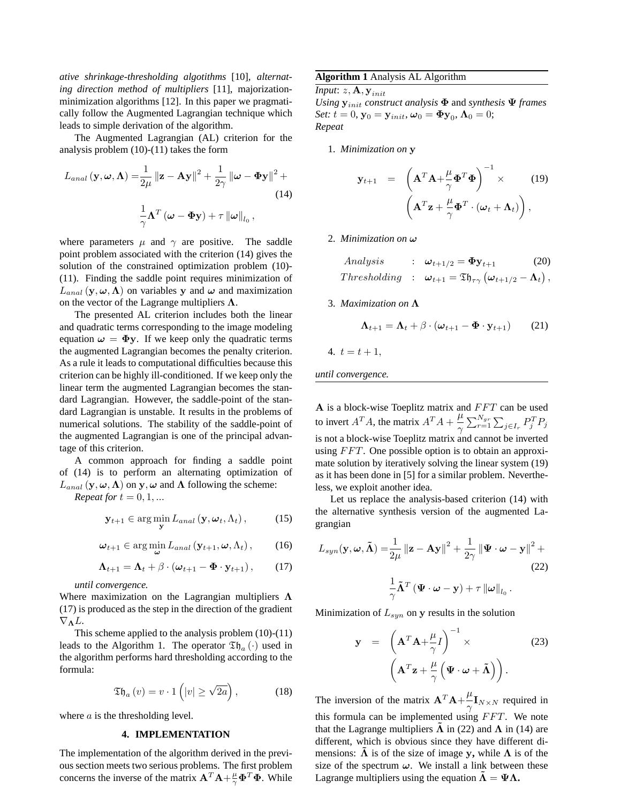*ative shrinkage-thresholding algotithms* [10]*, alternating direction method of multipliers* [11], majorizationminimization algorithms [12]. In this paper we pragmatically follow the Augmented Lagrangian technique which leads to simple derivation of the algorithm.

The Augmented Lagrangian (AL) criterion for the analysis problem (10)-(11) takes the form

$$
L_{anal}(\mathbf{y}, \boldsymbol{\omega}, \boldsymbol{\Lambda}) = \frac{1}{2\mu} ||\mathbf{z} - \mathbf{A}\mathbf{y}||^2 + \frac{1}{2\gamma} ||\boldsymbol{\omega} - \mathbf{\Phi}\mathbf{y}||^2 +
$$
  
(14)  

$$
\frac{1}{\gamma} \boldsymbol{\Lambda}^T (\boldsymbol{\omega} - \mathbf{\Phi}\mathbf{y}) + \tau ||\boldsymbol{\omega}||_{l_0},
$$

where parameters  $\mu$  and  $\gamma$  are positive. The saddle point problem associated with the criterion (14) gives the solution of the constrained optimization problem (10)- (11). Finding the saddle point requires minimization of  $L_{anal}$  (y,  $\omega$ ,  $\Lambda$ ) on variables y and  $\omega$  and maximization on the vector of the Lagrange multipliers  $\Lambda$ .

The presented AL criterion includes both the linear and quadratic terms corresponding to the image modeling equation  $\omega = \Phi y$ . If we keep only the quadratic terms the augmented Lagrangian becomes the penalty criterion. As a rule it leads to computational difficulties because this criterion can be highly ill-conditioned. If we keep only the linear term the augmented Lagrangian becomes the standard Lagrangian. However, the saddle-point of the standard Lagrangian is unstable. It results in the problems of numerical solutions. The stability of the saddle-point of the augmented Lagrangian is one of the principal advantage of this criterion.

A common approach for finding a saddle point of (14) is to perform an alternating optimization of  $L_{anal}$  (y,  $\omega$ ,  $\Lambda$ ) on y,  $\omega$  and  $\Lambda$  following the scheme: *Repeat for*  $t = 0, 1, \dots$ 

$$
\mathbf{y}_{t+1} \in \arg\min_{\mathbf{y}} L_{anal}\left(\mathbf{y}, \boldsymbol{\omega}_{t}, \Lambda_{t}\right),\tag{15}
$$

$$
\boldsymbol{\omega}_{t+1} \in \arg\min_{\boldsymbol{\omega}} L_{anal} \left( \mathbf{y}_{t+1}, \boldsymbol{\omega}, \Lambda_t \right), \qquad (16)
$$

$$
\mathbf{\Lambda}_{t+1} = \mathbf{\Lambda}_t + \beta \cdot (\boldsymbol{\omega}_{t+1} - \boldsymbol{\Phi} \cdot \mathbf{y}_{t+1}), \qquad (17)
$$

*until convergence.*

Where maximization on the Lagrangian multipliers  $\Lambda$ (17) is produced as the step in the direction of the gradient  $\nabla_{\mathbf{\Lambda}}L.$ 

This scheme applied to the analysis problem (10)-(11) leads to the Algorithm 1. The operator  $\mathfrak{Th}_{a}(\cdot)$  used in the algorithm performs hard thresholding according to the formula:

$$
\mathfrak{Th}_a\left(v\right) = v \cdot 1\left(|v| \ge \sqrt{2a}\right),\tag{18}
$$

where *a* is the thresholding level.

#### **4. IMPLEMENTATION**

The implementation of the algorithm derived in the previous section meets two serious problems. The first problem concerns the inverse of the matrix  $\mathbf{A}^T \mathbf{A} + \frac{\mu}{\gamma} \mathbf{\Phi}^T \mathbf{\Phi}$ . While

### **Algorithm 1** Analysis AL Algorithm

*Input*:  $z, \mathbf{A}, \mathbf{y}_{init}$ 

*Using*  $y_{init}$  *construct analysis*  $\Phi$  and *synthesis*  $\Psi$  *frames Set:*  $t = 0$ ,  $\mathbf{y}_0 = \mathbf{y}_{init}$ ,  $\boldsymbol{\omega}_0 = \boldsymbol{\Phi} \mathbf{y}_0$ ,  $\boldsymbol{\Lambda}_0 = 0$ ; *Repeat*

1. *Minimization on* y

$$
\mathbf{y}_{t+1} = \left(\mathbf{A}^T \mathbf{A} + \frac{\mu}{\gamma} \mathbf{\Phi}^T \mathbf{\Phi}\right)^{-1} \times (19) \n\left(\mathbf{A}^T \mathbf{z} + \frac{\mu}{\gamma} \mathbf{\Phi}^T \cdot (\boldsymbol{\omega}_t + \boldsymbol{\Lambda}_t)\right),
$$

2. *Minimization on*  $\omega$ 

Analysis: 
$$
\omega_{t+1/2} = \Phi y_{t+1}
$$
 (20)  
Thresholding:  $\omega_{t+1} = \mathfrak{T} \mathfrak{h}_{\tau \gamma} (\omega_{t+1/2} - \Lambda_t)$ ,

3. *Maximization on*

$$
\Lambda_{t+1} = \Lambda_t + \beta \cdot (\boldsymbol{\omega}_{t+1} - \boldsymbol{\Phi} \cdot \mathbf{y}_{t+1}) \qquad (21)
$$

4. 
$$
t = t + 1
$$
,

*until convergence.*

A is a block-wise Toeplitz matrix and  $FFT$  can be used to invert  $A^T A$ , the matrix  $A^T A + \frac{\mu}{2}$  $\gamma$  $\sum_{r=1}^{N_{gr}} \sum_{j \in I_r} P_j^T P_j$ is not a block-wise Toeplitz matrix and cannot be inverted using  $FFT$ . One possible option is to obtain an approximate solution by iteratively solving the linear system (19) as it has been done in [5] for a similar problem. Nevertheless, we exploit another idea.

Let us replace the analysis-based criterion (14) with the alternative synthesis version of the augmented Lagrangian

$$
L_{syn}(\mathbf{y}, \omega, \tilde{\mathbf{\Lambda}}) = \frac{1}{2\mu} ||\mathbf{z} - \mathbf{A}\mathbf{y}||^2 + \frac{1}{2\gamma} ||\mathbf{\Psi} \cdot \omega - \mathbf{y}||^2 +
$$
  
(22)  

$$
\frac{1}{\gamma} \tilde{\mathbf{\Lambda}}^T (\mathbf{\Psi} \cdot \omega - \mathbf{y}) + \tau ||\omega||_{l_0}.
$$

Minimization of  $L_{syn}$  on y results in the solution

 $\gamma$ 

$$
\mathbf{y} = \left(\mathbf{A}^T \mathbf{A} + \frac{\mu}{\gamma} I\right)^{-1} \times \qquad (23)
$$

$$
\left(\mathbf{A}^T \mathbf{z} + \frac{\mu}{\gamma} \left(\mathbf{\Psi} \cdot \boldsymbol{\omega} + \tilde{\mathbf{\Lambda}}\right)\right).
$$

The inversion of the matrix  $A^T A + \frac{\mu}{2}$  $\frac{\mu}{\gamma}$ **I**<sub>N×N</sub> required in this formula can be implemented using  $FFT$ . We note that the Lagrange multipliers  $\hat{\Lambda}$  in (22) and  $\Lambda$  in (14) are different, which is obvious since they have different dimensions:  $\tilde{\Lambda}$  is of the size of image y, while  $\Lambda$  is of the size of the spectrum  $\omega$ . We install a link between these Lagrange multipliers using the equation  $\tilde{\Lambda} = \Psi \Lambda$ .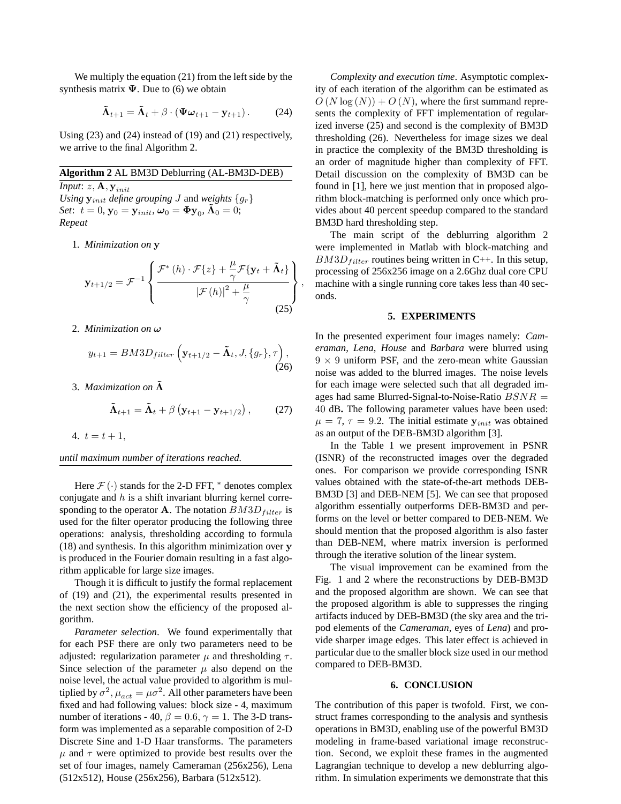We multiply the equation (21) from the left side by the synthesis matrix  $\Psi$ . Due to (6) we obtain

$$
\tilde{\mathbf{\Lambda}}_{t+1} = \tilde{\mathbf{\Lambda}}_t + \beta \cdot (\mathbf{\Psi} \boldsymbol{\omega}_{t+1} - \mathbf{y}_{t+1}). \tag{24}
$$

Using (23) and (24) instead of (19) and (21) respectively, we arrive to the final Algorithm 2.

### **Algorithm 2** AL BM3D Deblurring (AL-BM3D-DEB)

*Input*:  $z, \mathbf{A}, \mathbf{y}_{init}$ *Using*  $\mathbf{y}_{init}$  *define* grouping *J* and *weights*  $\{g_r\}$ *Set*:  $t = 0$ ,  $\mathbf{y}_0 = \mathbf{y}_{init}$ ,  $\boldsymbol{\omega}_0 = \mathbf{\Phi} \mathbf{y}_0$ ,  $\mathbf{\tilde{\Lambda}}_0 = 0$ ; *Repeat*

1. *Minimization on* y

$$
\mathbf{y}_{t+1/2} = \mathcal{F}^{-1} \left\{ \frac{\mathcal{F}^*(h) \cdot \mathcal{F}\{z\} + \frac{\mu}{\gamma} \mathcal{F}\{\mathbf{y}_t + \tilde{\mathbf{\Lambda}}_t\}}{|\mathcal{F}(h)|^2 + \frac{\mu}{\gamma}} \right\},\tag{25}
$$

2. *Minimization on* !

$$
y_{t+1} = BM3D_{filter}\left(\mathbf{y}_{t+1/2} - \tilde{\mathbf{\Lambda}}_t, J, \{g_r\}, \tau\right),\tag{26}
$$

3. *Maximization on*  $\tilde{\Lambda}$ 

$$
\tilde{\mathbf{\Lambda}}_{t+1} = \tilde{\mathbf{\Lambda}}_t + \beta \left( \mathbf{y}_{t+1} - \mathbf{y}_{t+1/2} \right), \tag{27}
$$

4.  $t = t + 1$ ,

*until maximum number of iterations reached.*

Here  $\mathcal{F}(\cdot)$  stands for the 2-D FFT,  $*$  denotes complex conjugate and  $h$  is a shift invariant blurring kernel corresponding to the operator **A**. The notation  $BM3D_{filter}$  is used for the filter operator producing the following three operations: analysis, thresholding according to formula (18) and synthesis. In this algorithm minimization over y is produced in the Fourier domain resulting in a fast algorithm applicable for large size images.

Though it is difficult to justify the formal replacement of (19) and (21), the experimental results presented in the next section show the efficiency of the proposed algorithm.

*Parameter selection*. We found experimentally that for each PSF there are only two parameters need to be adjusted: regularization parameter  $\mu$  and thresholding  $\tau$ . Since selection of the parameter  $\mu$  also depend on the noise level, the actual value provided to algorithm is multiplied by  $\sigma^2$ ,  $\mu_{act} = \mu \sigma^2$ . All other parameters have been fixed and had following values: block size - 4, maximum number of iterations - 40,  $\beta = 0.6$ ,  $\gamma = 1$ . The 3-D transform was implemented as a separable composition of 2-D Discrete Sine and 1-D Haar transforms. The parameters  $\mu$  and  $\tau$  were optimized to provide best results over the set of four images, namely Cameraman (256x256), Lena (512x512), House (256x256), Barbara (512x512).

*Complexity and execution time*. Asymptotic complexity of each iteration of the algorithm can be estimated as  $O(N \log(N)) + O(N)$ , where the first summand represents the complexity of FFT implementation of regularized inverse (25) and second is the complexity of BM3D thresholding (26). Nevertheless for image sizes we deal in practice the complexity of the BM3D thresholding is an order of magnitude higher than complexity of FFT. Detail discussion on the complexity of BM3D can be found in [1], here we just mention that in proposed algorithm block-matching is performed only once which provides about 40 percent speedup compared to the standard BM3D hard thresholding step.

The main script of the deblurring algorithm 2 were implemented in Matlab with block-matching and  $BMSD_{filter}$  routines being written in C++. In this setup, processing of 256x256 image on a 2.6Ghz dual core CPU machine with a single running core takes less than 40 seconds.

#### **5. EXPERIMENTS**

In the presented experiment four images namely: *Cameraman*, *Lena*, *House* and *Barbara* were blurred using  $9 \times 9$  uniform PSF, and the zero-mean white Gaussian noise was added to the blurred images. The noise levels for each image were selected such that all degraded images had same Blurred-Signal-to-Noise-Ratio  $BSNR =$ 40 dB**.** The following parameter values have been used:  $\mu = 7, \tau = 9.2$ . The initial estimate  $y_{init}$  was obtained as an output of the DEB-BM3D algorithm [3].

In the Table 1 we present improvement in PSNR (ISNR) of the reconstructed images over the degraded ones. For comparison we provide corresponding ISNR values obtained with the state-of-the-art methods DEB-BM3D [3] and DEB-NEM [5]. We can see that proposed algorithm essentially outperforms DEB-BM3D and performs on the level or better compared to DEB-NEM. We should mention that the proposed algorithm is also faster than DEB-NEM, where matrix inversion is performed through the iterative solution of the linear system.

The visual improvement can be examined from the Fig. 1 and 2 where the reconstructions by DEB-BM3D and the proposed algorithm are shown. We can see that the proposed algorithm is able to suppresses the ringing artifacts induced by DEB-BM3D (the sky area and the tripod elements of the *Cameraman*, eyes of *Lena*) and provide sharper image edges. This later effect is achieved in particular due to the smaller block size used in our method compared to DEB-BM3D.

#### **6. CONCLUSION**

The contribution of this paper is twofold. First, we construct frames corresponding to the analysis and synthesis operations in BM3D, enabling use of the powerful BM3D modeling in frame-based variational image reconstruction. Second, we exploit these frames in the augmented Lagrangian technique to develop a new deblurring algorithm. In simulation experiments we demonstrate that this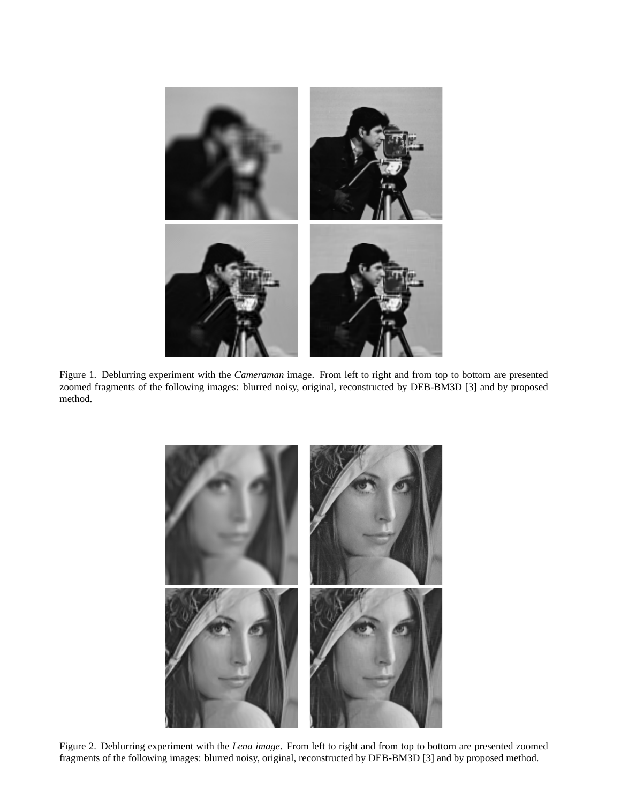

Figure 1. Deblurring experiment with the *Cameraman* image. From left to right and from top to bottom are presented zoomed fragments of the following images: blurred noisy, original, reconstructed by DEB-BM3D [3] and by proposed method.



Figure 2. Deblurring experiment with the *Lena image*. From left to right and from top to bottom are presented zoomed fragments of the following images: blurred noisy, original, reconstructed by DEB-BM3D [3] and by proposed method.